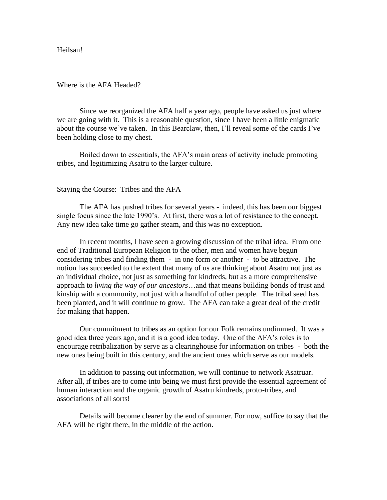Heilsan!

Where is the AFA Headed?

Since we reorganized the AFA half a year ago, people have asked us just where we are going with it. This is a reasonable question, since I have been a little enigmatic about the course we've taken. In this Bearclaw, then, I'll reveal some of the cards I've been holding close to my chest.

Boiled down to essentials, the AFA's main areas of activity include promoting tribes, and legitimizing Asatru to the larger culture.

## Staying the Course: Tribes and the AFA

The AFA has pushed tribes for several years - indeed, this has been our biggest single focus since the late 1990's. At first, there was a lot of resistance to the concept. Any new idea take time go gather steam, and this was no exception.

In recent months, I have seen a growing discussion of the tribal idea. From one end of Traditional European Religion to the other, men and women have begun considering tribes and finding them - in one form or another - to be attractive. The notion has succeeded to the extent that many of us are thinking about Asatru not just as an individual choice, not just as something for kindreds, but as a more comprehensive approach to *living the way of our ancestors*…and that means building bonds of trust and kinship with a community, not just with a handful of other people. The tribal seed has been planted, and it will continue to grow. The AFA can take a great deal of the credit for making that happen.

Our commitment to tribes as an option for our Folk remains undimmed. It was a good idea three years ago, and it is a good idea today. One of the AFA's roles is to encourage retribalization by serve as a clearinghouse for information on tribes - both the new ones being built in this century, and the ancient ones which serve as our models.

In addition to passing out information, we will continue to network Asatruar. After all, if tribes are to come into being we must first provide the essential agreement of human interaction and the organic growth of Asatru kindreds, proto-tribes, and associations of all sorts!

Details will become clearer by the end of summer. For now, suffice to say that the AFA will be right there, in the middle of the action.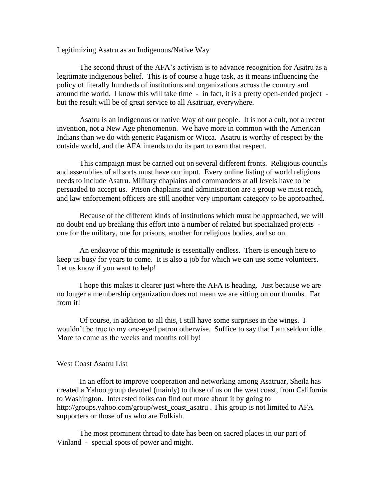## Legitimizing Asatru as an Indigenous/Native Way

The second thrust of the AFA's activism is to advance recognition for Asatru as a legitimate indigenous belief. This is of course a huge task, as it means influencing the policy of literally hundreds of institutions and organizations across the country and around the world. I know this will take time - in fact, it is a pretty open-ended project but the result will be of great service to all Asatruar, everywhere.

Asatru is an indigenous or native Way of our people. It is not a cult, not a recent invention, not a New Age phenomenon. We have more in common with the American Indians than we do with generic Paganism or Wicca. Asatru is worthy of respect by the outside world, and the AFA intends to do its part to earn that respect.

This campaign must be carried out on several different fronts. Religious councils and assemblies of all sorts must have our input. Every online listing of world religions needs to include Asatru. Military chaplains and commanders at all levels have to be persuaded to accept us. Prison chaplains and administration are a group we must reach, and law enforcement officers are still another very important category to be approached.

Because of the different kinds of institutions which must be approached, we will no doubt end up breaking this effort into a number of related but specialized projects one for the military, one for prisons, another for religious bodies, and so on.

An endeavor of this magnitude is essentially endless. There is enough here to keep us busy for years to come. It is also a job for which we can use some volunteers. Let us know if you want to help!

I hope this makes it clearer just where the AFA is heading. Just because we are no longer a membership organization does not mean we are sitting on our thumbs. Far from it!

Of course, in addition to all this, I still have some surprises in the wings. I wouldn't be true to my one-eyed patron otherwise. Suffice to say that I am seldom idle. More to come as the weeks and months roll by!

## West Coast Asatru List

In an effort to improve cooperation and networking among Asatruar, Sheila has created a Yahoo group devoted (mainly) to those of us on the west coast, from California to Washington. Interested folks can find out more about it by going to http://groups.yahoo.com/group/west\_coast\_asatru . This group is not limited to AFA supporters or those of us who are Folkish.

The most prominent thread to date has been on sacred places in our part of Vinland - special spots of power and might.